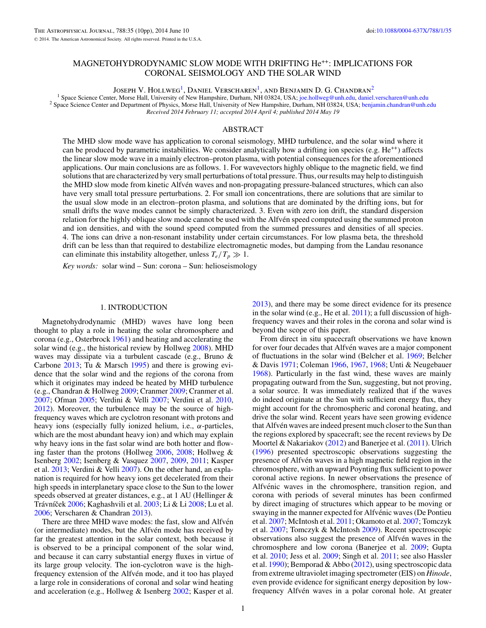# <span id="page-0-0"></span>MAGNETOHYDRODYNAMIC SLOW MODE WITH DRIFTING He++: IMPLICATIONS FOR CORONAL SEISMOLOGY AND THE SOLAR WIND

Joseph V. Hollweg<sup>1</sup>, Daniel Verscharen<sup>1</sup>, and Benjamin D. G. Chandran<sup>2</sup>

<sup>1</sup> Space Science Center, Morse Hall, University of New Hampshire, Durham, NH 03824, USA; [joe.hollweg@unh.edu,](mailto:joe.hollweg@unh.edu) [daniel.verscharen@unh.edu](mailto:daniel.verscharen@unh.edu)<br><sup>2</sup> Space Science Center and Department of Physics, Morse Hall, University of New Ham *Received 2014 February 11; accepted 2014 April 4; published 2014 May 19*

# ABSTRACT

The MHD slow mode wave has application to coronal seismology, MHD turbulence, and the solar wind where it can be produced by parametric instabilities. We consider analytically how a drifting ion species (e.g.  $He^{++}$ ) affects the linear slow mode wave in a mainly electron–proton plasma, with potential consequences for the aforementioned applications. Our main conclusions are as follows. 1. For wavevectors highly oblique to the magnetic field, we find solutions that are characterized by very small perturbations of total pressure. Thus, our results may help to distinguish the MHD slow mode from kinetic Alfvén waves and non-propagating pressure-balanced structures, which can also have very small total pressure perturbations. 2. For small ion concentrations, there are solutions that are similar to the usual slow mode in an electron–proton plasma, and solutions that are dominated by the drifting ions, but for small drifts the wave modes cannot be simply characterized. 3. Even with zero ion drift, the standard dispersion relation for the highly oblique slow mode cannot be used with the Alfven speed computed using the summed proton ´ and ion densities, and with the sound speed computed from the summed pressures and densities of all species. 4. The ions can drive a non-resonant instability under certain circumstances. For low plasma beta, the threshold drift can be less than that required to destabilize electromagnetic modes, but damping from the Landau resonance can eliminate this instability altogether, unless  $T_e/T_p \gg 1$ .

*Key words:* solar wind – Sun: corona – Sun: helioseismology

### 1. INTRODUCTION

Magnetohydrodynamic (MHD) waves have long been thought to play a role in heating the solar chromosphere and corona (e.g., Osterbrock [1961\)](#page-9-0) and heating and accelerating the solar wind (e.g., the historical review by Hollweg [2008\)](#page-9-0). MHD waves may dissipate via a turbulent cascade (e.g., Bruno & Carbone [2013;](#page-9-0) Tu & Marsch [1995\)](#page-9-0) and there is growing evidence that the solar wind and the regions of the corona from which it originates may indeed be heated by MHD turbulence (e.g., Chandran & Hollweg [2009;](#page-9-0) Cranmer [2009;](#page-9-0) Cranmer et al. [2007;](#page-9-0) Ofman [2005;](#page-9-0) Verdini & Velli [2007;](#page-9-0) Verdini et al. [2010,](#page-9-0) [2012\)](#page-9-0). Moreover, the turbulence may be the source of highfrequency waves which are cyclotron resonant with protons and heavy ions (especially fully ionized helium, i.e., *α*-particles, which are the most abundant heavy ion) and which may explain why heavy ions in the fast solar wind are both hotter and flowing faster than the protons (Hollweg [2006,](#page-9-0) [2008;](#page-9-0) Hollweg & Isenberg [2002;](#page-9-0) Isenberg & Vasquez [2007,](#page-9-0) [2009,](#page-9-0) [2011;](#page-9-0) Kasper et al. [2013;](#page-9-0) Verdini & Velli [2007\)](#page-9-0). On the other hand, an explanation is required for how heavy ions get decelerated from their high speeds in interplanetary space close to the Sun to the lower speeds observed at greater distances, e.g., at 1 AU (Hellinger & Trávníček [2006;](#page-9-0) Kaghashvili et al. [2003;](#page-9-0) Li & Li [2008;](#page-9-0) Lu et al. [2006;](#page-9-0) Verscharen & Chandran [2013\)](#page-9-0).

There are three MHD wave modes: the fast, slow and Alfvén (or intermediate) modes, but the Alfvén mode has received by far the greatest attention in the solar context, both because it is observed to be a principal component of the solar wind, and because it can carry substantial energy fluxes in virtue of its large group velocity. The ion-cyclotron wave is the highfrequency extension of the Alfvén mode, and it too has played a large role in considerations of coronal and solar wind heating and acceleration (e.g., Hollweg & Isenberg [2002;](#page-9-0) Kasper et al.

[2013\)](#page-9-0), and there may be some direct evidence for its presence in the solar wind (e.g., He et al. [2011\)](#page-9-0); a full discussion of highfrequency waves and their roles in the corona and solar wind is beyond the scope of this paper.

From direct in situ spacecraft observations we have known for over four decades that Alfvén waves are a major component of fluctuations in the solar wind (Belcher et al. [1969;](#page-9-0) Belcher & Davis [1971;](#page-9-0) Coleman [1966,](#page-9-0) [1967,](#page-9-0) [1968;](#page-9-0) Unti & Neugebauer [1968\)](#page-9-0). Particularly in the fast wind, these waves are mainly propagating outward from the Sun, suggesting, but not proving, a solar source. It was immediately realized that if the waves do indeed originate at the Sun with sufficient energy flux, they might account for the chromospheric and coronal heating, and drive the solar wind. Recent years have seen growing evidence that Alfvén waves are indeed present much closer to the Sun than the regions explored by spacecraft; see the recent reviews by De Moortel & Nakariakov [\(2012\)](#page-9-0) and Banerjee et al. [\(2011\)](#page-9-0). Ulrich [\(1996\)](#page-9-0) presented spectroscopic observations suggesting the presence of Alfvén waves in a high magnetic field region in the chromosphere, with an upward Poynting flux sufficient to power coronal active regions. In newer observations the presence of Alfvénic waves in the chromosphere, transition region, and corona with periods of several minutes has been confirmed by direct imaging of structures which appear to be moving or swaying in the manner expected for Alfvénic waves (De Pontieu et al. [2007;](#page-9-0) McIntosh et al. [2011;](#page-9-0) Okamoto et al. [2007;](#page-9-0) Tomczyk et al. [2007;](#page-9-0) Tomczyk & McIntosh [2009\)](#page-9-0). Recent spectroscopic observations also suggest the presence of Alfvén waves in the chromosphere and low corona (Banerjee et al. [2009;](#page-9-0) Gupta et al. [2010;](#page-9-0) Jess et al. [2009;](#page-9-0) Singh et al. [2011;](#page-9-0) see also Hassler et al. [1990\)](#page-9-0); Bemporad & Abbo [\(2012\)](#page-9-0), using spectroscopic data from extreme ultraviolet imaging spectrometer (EIS) on *Hinode*, even provide evidence for significant energy deposition by lowfrequency Alfvén waves in a polar coronal hole. At greater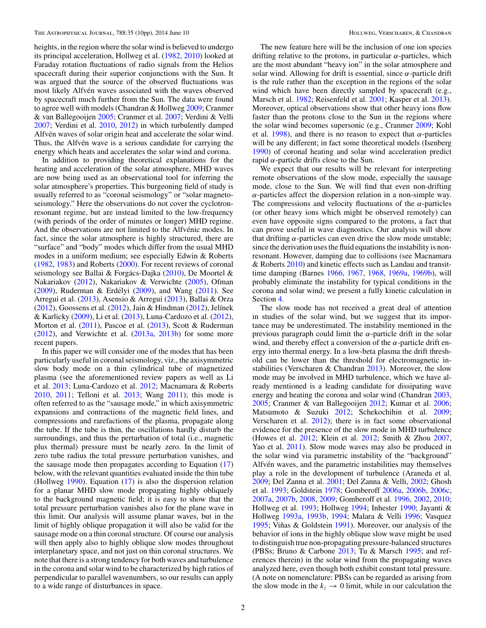heights, in the region where the solar wind is believed to undergo its principal acceleration, Hollweg et al. [\(1982,](#page-9-0) [2010\)](#page-9-0) looked at Faraday rotation fluctuations of radio signals from the Helios spacecraft during their superior conjunctions with the Sun. It was argued that the source of the observed fluctuations was most likely Alfvén waves associated with the waves observed by spacecraft much further from the Sun. The data were found to agree well with models (Chandran & Hollweg [2009;](#page-9-0) Cranmer & van Ballegooijen [2005;](#page-9-0) Cranmer et al. [2007;](#page-9-0) Verdini & Velli [2007;](#page-9-0) Verdini et al. [2010,](#page-9-0) [2012\)](#page-9-0) in which turbulently damped Alfvén waves of solar origin heat and accelerate the solar wind. Thus, the Alfvén wave is a serious candidate for carrying the energy which heats and accelerates the solar wind and corona.

In addition to providing theoretical explanations for the heating and acceleration of the solar atmosphere, MHD waves are now being used as an observational tool for inferring the solar atmosphere's properties. This burgeoning field of study is usually referred to as "coronal seismology" or "solar magnetoseismology." Here the observations do not cover the cyclotronresonant regime, but are instead limited to the low-frequency (with periods of the order of minutes or longer) MHD regime. And the observations are not limited to the Alfvénic modes. In fact, since the solar atmosphere is highly structured, there are "surface" and "body" modes which differ from the usual MHD modes in a uniform medium; see especially Edwin & Roberts [\(1982,](#page-9-0) [1983\)](#page-9-0) and Roberts [\(2000\)](#page-9-0). For recent reviews of coronal seismology see Ballai & Forgács-Dajka ([2010\)](#page-9-0), De Moortel & Nakariakov [\(2012\)](#page-9-0), Nakariakov & Verwichte [\(2005\)](#page-9-0), Ofman  $(2009)$ , Ruderman & Erdélyi  $(2009)$  $(2009)$ , and Wang  $(2011)$ . See Arregui et al. [\(2013\)](#page-9-0), Asensio & Arregui [\(2013\)](#page-9-0), Ballai & Orza  $(2012)$ , Goossens et al.  $(2012)$ , Jain & Hindman  $(2012)$ , Jelínek & Karlicky [\(2009\)](#page-9-0), Li et al. [\(2013\)](#page-9-0), Luna-Cardozo et al. [\(2012\)](#page-9-0), Morton et al. [\(2011\)](#page-9-0), Pascoe et al. [\(2013\)](#page-9-0), Scott & Ruderman [\(2012\)](#page-9-0), and Verwichte et al. [\(2013a,](#page-9-0) [2013b\)](#page-9-0) for some more recent papers.

In this paper we will consider one of the modes that has been particularly useful in coronal seismology, viz., the axisymmetric slow body mode on a thin cylindrical tube of magnetized plasma (see the aforementioned review papers as well as Li et al. [2013;](#page-9-0) Luna-Cardozo et al. [2012;](#page-9-0) Macnamara & Roberts [2010,](#page-9-0) [2011;](#page-9-0) Telloni et al. [2013;](#page-9-0) Wang [2011\)](#page-9-0); this mode is often referred to as the "sausage mode," in which axisymmetric expansions and contractions of the magnetic field lines, and compressions and rarefactions of the plasma, propagate along the tube. If the tube is thin, the oscillations hardly disturb the surroundings, and thus the perturbation of total (i.e., magnetic plus thermal) pressure must be nearly zero. In the limit of zero tube radius the total pressure perturbation vanishes, and the sausage mode then propagates according to Equation [\(17\)](#page-3-0) below, with the relevant quantities evaluated inside the thin tube (Hollweg [1990\)](#page-9-0). Equation [\(17\)](#page-3-0) is also the dispersion relation for a planar MHD slow mode propagating highly obliquely to the background magnetic field; it is easy to show that the total pressure perturbation vanishes also for the plane wave in this limit. Our analysis will assume planar waves, but in the limit of highly oblique propagation it will also be valid for the sausage mode on a thin coronal structure. Of course our analysis will then apply also to highly oblique slow modes throughout interplanetary space, and not just on thin coronal structures. We note that there is a strong tendency for both waves and turbulence in the corona and solar wind to be characterized by high ratios of perpendicular to parallel wavenumbers, so our results can apply to a wide range of disturbances in space.

The new feature here will be the inclusion of one ion species drifting relative to the protons, in particular *α*-particles, which are the most abundant "heavy ion" in the solar atmosphere and solar wind. Allowing for drift is essential, since *α*-particle drift is the rule rather than the exception in the regions of the solar wind which have been directly sampled by spacecraft (e.g., Marsch et al. [1982;](#page-9-0) Reisenfeld et al. [2001;](#page-9-0) Kasper et al. [2013\)](#page-9-0). Moreover, optical observations show that other heavy ions flow faster than the protons close to the Sun in the regions where the solar wind becomes supersonic (e.g., Cranmer [2009;](#page-9-0) Kohl et al.  $1998$ ), and there is no reason to expect that  $\alpha$ -particles will be any different; in fact some theoretical models (Isenberg [1990\)](#page-9-0) of coronal heating and solar wind acceleration predict rapid *α*-particle drifts close to the Sun.

We expect that our results will be relevant for interpreting remote observations of the slow mode, especially the sausage mode, close to the Sun. We will find that even non-drifting *α*-particles affect the dispersion relation in a non-simple way. The compressions and velocity fluctuations of the  $\alpha$ -particles (or other heavy ions which might be observed remotely) can even have opposite signs compared to the protons, a fact that can prove useful in wave diagnostics. Our analysis will show that drifting *α*-particles can even drive the slow mode unstable; since the derivation uses the fluid equations the instability is nonresonant. However, damping due to collisions (see Macnamara & Roberts [2010\)](#page-9-0) and kinetic effects such as Landau and transittime damping (Barnes [1966,](#page-9-0) [1967,](#page-9-0) [1968,](#page-9-0) [1969a,](#page-9-0) [1969b\)](#page-9-0), will probably eliminate the instability for typical conditions in the corona and solar wind; we present a fully kinetic calculation in Section [4.](#page-7-0)

The slow mode has not received a great deal of attention in studies of the solar wind, but we suggest that its importance may be underestimated. The instability mentioned in the previous paragraph could limit the  $\alpha$ -particle drift in the solar wind, and thereby effect a conversion of the *α*-particle drift energy into thermal energy. In a low-beta plasma the drift threshold can be lower than the threshold for electromagnetic instabilities (Verscharen & Chandran  $2013$ ). Moreover, the slow mode may be involved in MHD turbulence, which we have already mentioned is a leading candidate for dissipating wave energy and heating the corona and solar wind (Chandran [2003,](#page-9-0) [2005;](#page-9-0) Cranmer & van Ballegooijen [2012;](#page-9-0) Kumar et al. [2006;](#page-9-0) Matsumoto & Suzuki [2012;](#page-9-0) Schekochihin et al. [2009;](#page-9-0) Verscharen et al. [2012\)](#page-9-0); there is in fact some observational evidence for the presence of the slow mode in MHD turbulence (Howes et al. [2012;](#page-9-0) Klein et al. [2012;](#page-9-0) Smith & Zhou [2007,](#page-9-0) Yao et al. [2011\)](#page-9-0). Slow mode waves may also be produced in the solar wind via parametric instability of the "background" Alfvén waves, and the parametric instabilities may themselves play a role in the development of turbulence (Araneda et al. [2009;](#page-9-0) Del Zanna et al. [2001;](#page-9-0) Del Zanna & Velli, [2002;](#page-9-0) Ghosh et al. [1993;](#page-9-0) Goldstein [1978;](#page-9-0) Gomberoff [2006a,](#page-9-0) [2006b,](#page-9-0) [2006c,](#page-9-0) [2007a,](#page-9-0) [2007b,](#page-9-0) [2008,](#page-9-0) [2009;](#page-9-0) Gomberoff et al. [1996,](#page-9-0) [2002,](#page-9-0) [2010;](#page-9-0) Hollweg et al. [1993;](#page-9-0) Hollweg [1994;](#page-9-0) Inhester [1990;](#page-9-0) Jayanti & Hollweg [1993a,](#page-9-0) [1993b,](#page-9-0) [1994;](#page-9-0) Malara & Velli [1996;](#page-9-0) Vasquez [1995;](#page-9-0) Viñas & Goldstein  $1991$ ). Moreover, our analysis of the behavior of ions in the highly oblique slow wave might be used to distinguish true non-propagating pressure-balanced structures (PBSs; Bruno & Carbone [2013;](#page-9-0) Tu & Marsch [1995;](#page-9-0) and references therein) in the solar wind from the propagating waves analyzed here, even though both exhibit constant total pressure. (A note on nomenclature: PBSs can be regarded as arising from the slow mode in the  $k_z \rightarrow 0$  limit, while in our calculation the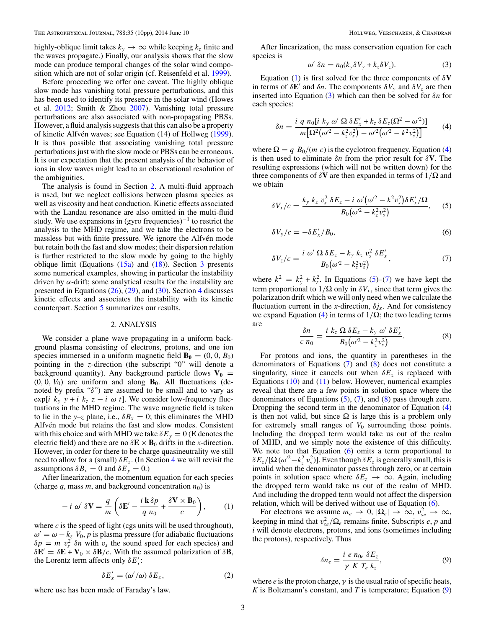<span id="page-2-0"></span>highly-oblique limit takes  $k_y \rightarrow \infty$  while keeping  $k_z$  finite and the waves propagate.) Finally, our analysis shows that the slow mode can produce temporal changes of the solar wind composition which are not of solar origin (cf. Reisenfeld et al. [1999\)](#page-9-0).

Before proceeding we offer one caveat. The highly oblique slow mode has vanishing total pressure perturbations, and this has been used to identify its presence in the solar wind (Howes et al. [2012;](#page-9-0) Smith & Zhou [2007\)](#page-9-0). Vanishing total pressure perturbations are also associated with non-propagating PBSs. However, a fluid analysis suggests that this can also be a property of kinetic Alfvén waves; see Equation (14) of Hollweg ([1999\)](#page-9-0). It is thus possible that associating vanishing total pressure perturbations just with the slow mode or PBSs can be erroneous. It is our expectation that the present analysis of the behavior of ions in slow waves might lead to an observational resolution of the ambiguities.

The analysis is found in Section 2. A multi-fluid approach is used, but we neglect collisions between plasma species as well as viscosity and heat conduction. Kinetic effects associated with the Landau resonance are also omitted in the multi-fluid study. We use expansions in (gyro frequencies)<sup>-1</sup> to restrict the analysis to the MHD regime, and we take the electrons to be massless but with finite pressure. We ignore the Alfvén mode but retain both the fast and slow modes; their dispersion relation is further restricted to the slow mode by going to the highly oblique limit (Equations  $(15a)$  and  $(18)$ ). Section [3](#page-5-0) presents some numerical examples, showing in particular the instability driven by  $\alpha$ -drift; some analytical results for the instability are presented in Equations [\(26\)](#page-5-0), [\(29\)](#page-6-0), and [\(30\)](#page-7-0). Section [4](#page-7-0) discusses kinetic effects and associates the instability with its kinetic counterpart. Section [5](#page-8-0) summarizes our results.

#### 2. ANALYSIS

We consider a plane wave propagating in a uniform background plasma consisting of electrons, protons, and one ion species immersed in a uniform magnetic field  $\mathbf{B}_0 = (0, 0, B_0)$ pointing in the *z*-direction (the subscript "0" will denote a background quantity). Any background particle flows  $V_0$  =  $(0, 0, V_0)$  are uniform and along  $\mathbf{B}_0$ . All fluctuations (denoted by prefix "*δ*") are assumed to be small and to vary as exp[*i*  $k_y$   $y + i$   $k_z$   $z - i \omega t$ ]. We consider low-frequency fluctuations in the MHD regime. The wave magnetic field is taken to lie in the *y*-*z* plane, i.e.,  $\delta B_x = 0$ ; this eliminates the MHD Alfvén mode but retains the fast and slow modes. Consistent with this choice and with MHD we take  $\delta E_y = 0$  (**E** denotes the electric field) and there are no  $\delta \mathbf{E} \times \mathbf{B}_0$  drifts in the *x*-direction. However, in order for there to be charge quasineutrality we still need to allow for a (small)  $\delta E_z$ . (In Section [4](#page-7-0) we will revisit the assumptions  $\delta B_x = 0$  and  $\delta E_y = 0$ .)

After linearization, the momentum equation for each species (charge  $q$ , mass  $m$ , and background concentration  $n_0$ ) is

$$
-i \omega' \delta \mathbf{V} = \frac{q}{m} \left( \delta \mathbf{E}' - \frac{i \mathbf{k} \delta p}{q n_0} + \frac{\delta \mathbf{V} \times \mathbf{B}_0}{c} \right), \qquad (1)
$$

where *c* is the speed of light (cgs units will be used throughout),  $\omega' = \omega - k_z V_0$ , *p* is plasma pressure (for adiabatic fluctuations  $\delta p = m v_s^2 \delta n$  with  $v_s$  the sound speed for each species) and  $\delta \mathbf{E}' = \delta \mathbf{E} + \mathbf{V}_0 \times \delta \mathbf{B}/c$ . With the assumed polarization of  $\delta \mathbf{B}$ , the Lorentz term affects only  $\delta E'_x$ :

$$
\delta E'_x = (\omega'/\omega) \, \delta E_x,\tag{2}
$$

where use has been made of Faraday's law.

After linearization, the mass conservation equation for each species is

$$
\omega' \delta n = n_0 (k_y \delta V_y + k_z \delta V_z). \tag{3}
$$

Equation (1) is first solved for the three components of *δ***V** in terms of  $\delta \mathbf{E}'$  and  $\delta n$ . The components  $\delta V_y$  and  $\delta V_z$  are then inserted into Equation (3) which can then be solved for *δn* for each species:

$$
\delta n = \frac{i \, q \, n_0 [i \, k_y \, \omega' \, \Omega \, \delta E'_x + k_z \, \delta E_z (\Omega^2 - \omega^2)]}{m \big[ \Omega^2 (\omega^2 - k_z^2 v_s^2) - \omega^2 (\omega^2 - k^2 v_s^2) \big]}
$$
(4)

where  $\Omega = q B_0/(m c)$  is the cyclotron frequency. Equation (4) is then used to eliminate *δn* from the prior result for *δ***V**. The resulting expressions (which will not be written down) for the three components of  $\delta V$  are then expanded in terms of  $1/\Omega$  and we obtain

$$
\delta V_x/c = \frac{k_y k_z v_s^2 \delta E_z - i \omega' (\omega'^2 - k^2 v_s^2) \delta E'_x / \Omega}{B_0 (\omega'^2 - k_z^2 v_s^2)},
$$
(5)

$$
\delta V_y/c = -\delta E'_x/B_0,\tag{6}
$$

$$
\delta V_z/c = \frac{i \omega' \Omega \delta E_z - k_y k_z v_s^2 \delta E'_x}{B_0(\omega^2 - k_z^2 v_s^2)},\tag{7}
$$

where  $k^2 = k_y^2 + k_z^2$ . In Equations (5)–(7) we have kept the term proportional to  $1/\Omega$  only in  $\delta V_x$ , since that term gives the polarization drift which we will only need when we calculate the fluctuation current in the *x*-direction,  $\delta j_x$ . And for consistency we expand Equation (4) in terms of 1*/*Ω; the two leading terms are

$$
\frac{\delta n}{c \; n_0} = \frac{i \; k_z \; \Omega \; \delta E_z - k_y \; \omega' \; \delta E'_x}{B_0(\omega^2 - k_z^2 v_s^2)}.\tag{8}
$$

For protons and ions, the quantity in parentheses in the denominators of Equations  $(7)$  and  $(8)$  does not constitute a singularity, since it cancels out when  $\delta E_z$  is replaced with Equations [\(10\)](#page-3-0) and [\(11\)](#page-3-0) below. However, numerical examples reveal that there are a few points in solution space where the denominators of Equations  $(5)$ ,  $(7)$ , and  $(8)$  pass through zero. Dropping the second term in the denominator of Equation (4) is then not valid, but since  $\Omega$  is large this is a problem only for extremely small ranges of *V*<sup>0</sup> surrounding those points. Including the dropped term would take us out of the realm of MHD, and we simply note the existence of this difficulty. We note too that Equation (6) omits a term proportional to  $\delta E_z / [\Omega(\omega^2 - k_z^2 v_s^2)]$ . Even though  $\delta E_z$  is generally small, this is invalid when the denominator passes through zero, or at certain points in solution space where  $\delta E_z \rightarrow \infty$ . Again, including the dropped term would take us out of the realm of MHD. And including the dropped term would not affect the dispersion relation, which will be derived without use of Equation (6).

For electrons we assume  $m_e \to 0$ ,  $|\Omega_e| \to \infty$ ,  $v_{se}^2 \to \infty$ , keeping in mind that  $v_{se}^2/\Omega_e$  remains finite. Subscripts *e*, *p* and *i* will denote electrons, protons, and ions (sometimes including the protons), respectively. Thus

$$
\delta n_e = \frac{i \ e \ n_{0e} \ \delta E_z}{\gamma \ K \ T_e \ k_z},\tag{9}
$$

where *e* is the proton charge,  $\gamma$  is the usual ratio of specific heats, *K* is Boltzmann's constant, and *T* is temperature; Equation (9)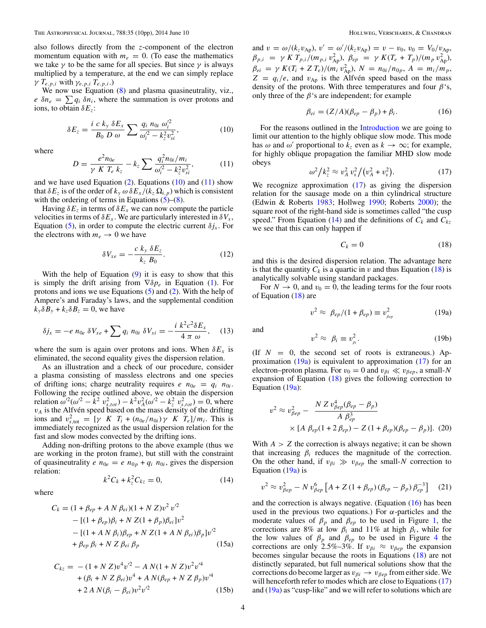<span id="page-3-0"></span>also follows directly from the *z*-component of the electron momentum equation with  $m_e = 0$ . (To ease the mathematics we take  $\gamma$  to be the same for all species. But since  $\gamma$  is always multiplied by a temperature, at the end we can simply replace *γ*  $T_{e,p,i}$  with  $γ_{e,p,i}$   $T_{e,p,i}$ .)

We now use Equation [\(8\)](#page-2-0) and plasma quasineutrality, viz.,  $e \, \delta n_e = \sum q_i \, \delta n_i$ , where the summation is over protons and ions, to obtain *δEz*:

$$
\delta E_z = \frac{i \ c \ k_y \ \delta E_x}{B_0 \ D \ \omega} \sum \frac{q_i \ n_{0i} \ \omega_i'^2}{\omega_i'^2 - k_z^2 v_{si}^2},\tag{10}
$$

where

$$
D = \frac{e^2 n_{0e}}{\gamma K T_e k_z} - k_z \sum \frac{q_i^2 n_{0i} / m_i}{\omega_i^2 - k_z^2 v_{si}^2},
$$
 (11)

and we have used Equation  $(2)$ . Equations  $(10)$  and  $(11)$  show that  $\delta E_z$  is of the order of  $k_y \omega \delta E_x / (k_z \Omega_{i,p})$  which is consistent with the ordering of terms in Equations  $(5)-(8)$  $(5)-(8)$  $(5)-(8)$ .

Having  $\delta E_z$  in terms of  $\delta E_x$  we can now compute the particle velocities in terms of  $\delta E_x$ . We are particularly interested in  $\delta V_x$ , Equation [\(5\)](#page-2-0), in order to compute the electric current  $\delta j_x$ . For the electrons with  $m_e \rightarrow 0$  we have

$$
\delta V_{xe} = -\frac{c k_y \,\delta E_z}{k_z \,B_0}.\tag{12}
$$

With the help of Equation  $(9)$  it is easy to show that this is simply the drift arising from ∇*δpe* in Equation [\(1\)](#page-2-0). For protons and ions we use Equations [\(5\)](#page-2-0) and [\(2\)](#page-2-0). With the help of Ampere's and Faraday's laws, and the supplemental condition  $k_y \delta B_y + k_z \delta B_z = 0$ , we have

$$
\delta j_x = -e \; n_{0e} \; \delta V_{xe} + \sum q_i \; n_{0i} \; \delta V_{xi} = -\frac{i \; k^2 c^2 \delta E_x}{4 \; \pi \; \omega}, \quad (13)
$$

where the sum is again over protons and ions. When  $\delta E_x$  is eliminated, the second equality gives the dispersion relation.

As an illustration and a check of our procedure, consider a plasma consisting of massless electrons and one species of drifting ions; charge neutrality requires  $e_n e_{0e} = q_i n_{0i}$ . Following the recipe outlined above, we obtain the dispersion relation  $\omega^2(\omega^2 - \hat{k}^2 v_{s,tot}^2) - k^2 v_A^2(\omega^2 - k_z^2 v_{s,tot}^2) = 0$ , where  $v_A$  is the Alfven speed based on the mass density of the drifting ions and  $v_{s,\text{tot}}^2 = [\gamma \ K \ T_i + (n_{0e}/n_{0i}) \gamma \ K \ T_e]/m_i$ . This is immediately recognized as the usual dispersion relation for the fast and slow modes convected by the drifting ions.

Adding non-drifting protons to the above example (thus we are working in the proton frame), but still with the constraint of quasineutrality *e*  $n_{0e} = e n_{0p} + q_i n_{0i}$ , gives the dispersion relation:

$$
k^2 C_k + k_z^2 C_{kz} = 0,
$$
 (14)

where

$$
C_k = (1 + \beta_{ep} + A N \beta_{ei})(1 + N Z)v^2 v'^2
$$
  
- [(1 + \beta\_{ep})\beta\_i + N Z(1 + \beta\_p)\beta\_{ei}]v^2  
- [(1 + A N \beta\_i)\beta\_{ep} + N Z(1 + A N \beta\_{ei})\beta\_p]v'^2  
+ \beta\_{ep} \beta\_i + N Z \beta\_{ei} \beta\_p (15a)

$$
C_{kz} = -(1 + N Z)v^{4}v^{2} - A N(1 + N Z)v^{2}v^{4}
$$
  
+  $(\beta_{i} + N Z \beta_{ei})v^{4} + A N(\beta_{ep} + N Z \beta_{p})v^{4}$   
+  $2 A N(\beta_{i} - \beta_{ei})v^{2}v^{2}$  (15b)

and  $v = \omega/(k_z v_{\rm Ap})$ ,  $v' = \omega'/(k_z v_{\rm Ap}) = v - v_0$ ,  $v_0 = V_0/v_{\rm Ap}$ ,  $\beta_{p,i} = \gamma K T_{p,i} / (m_{p,i} v_{\rm Ap}^2), \ \beta_{ep} = \gamma K (T_e + T_p) / (m_p v_{\rm Ap}^2),$  $\beta_{ei} = \gamma K(T_i + Z T_e)/(m_i v_{\rm Ap}^2), N = n_{0i}/n_{0p}, A = m_i/m_p,$  $Z = q_i/e$ , and  $v_{Ap}$  is the Alfven speed based on the mass density of the protons. With three temperatures and four *β*'s, only three of the  $\beta$ 's are independent; for example

$$
\beta_{ei} = (Z/A)(\beta_{ep} - \beta_p) + \beta_i. \tag{16}
$$

For the reasons outlined in the [Introduction](#page-0-0) we are going to limit our attention to the highly oblique slow mode. This mode has  $\omega$  and  $\omega'$  proportional to  $k_z$  even as  $k \to \infty$ ; for example, for highly oblique propagation the familiar MHD slow mode obeys

$$
\omega^2 / k_z^2 \approx v_A^2 v_s^2 / (v_A^2 + v_s^2). \tag{17}
$$

We recognize approximation (17) as giving the dispersion relation for the sausage mode on a thin cylindrical structure (Edwin & Roberts [1983;](#page-9-0) Hollweg [1990;](#page-9-0) Roberts [2000\)](#page-9-0); the square root of the right-hand side is sometimes called "the cusp speed." From Equation (14) and the definitions of  $C_k$  and  $C_{kz}$ we see that this can only happen if

$$
C_k = 0 \tag{18}
$$

and this is the desired dispersion relation. The advantage here is that the quantity  $C_k$  is a quartic in *v* and thus Equation (18) is analytically solvable using standard packages.

For  $N \to 0$ , and  $v_0 = 0$ , the leading terms for the four roots of Equation (18) are

$$
v^2 \approx \beta_{ep}/(1+\beta_{ep}) \equiv v_{\beta_{ep}}^2 \tag{19a}
$$

and

$$
v^2 \approx \ \beta_i \equiv v_{\beta i}^2. \tag{19b}
$$

(If  $N = 0$ , the second set of roots is extraneous.) Approximation  $(19a)$  is equivalent to approximation  $(17)$  for an electron–proton plasma. For  $v_0 = 0$  and  $v_{\beta i} \ll v_{\beta e p}$ , a small-*N* expansion of Equation (18) gives the following correction to Equation (19a):

$$
v^2 \approx v_{\beta ep}^2 - \frac{N Z v_{\beta ep}^4 (\beta_{ep} - \beta_p)}{A \beta_{ep}^3}
$$
  
× [A \beta\_{ep} (1 + 2 \beta\_{ep}) - Z (1 + \beta\_{ep}) (\beta\_{ep} - \beta\_p)]. (20)

With  $A > Z$  the correction is always negative; it can be shown that increasing  $\beta_i$  reduces the magnitude of the correction. On the other hand, if  $v_{\beta i} \gg v_{\beta e}$  the small-*N* correction to Equation  $(19a)$  is

$$
v^{2} \approx v_{\beta ep}^{2} - N v_{\beta ep}^{6} \left[ A + Z \left( 1 + \beta_{ep} \right) \left( \beta_{ep} - \beta_{p} \right) \beta_{ep}^{-3} \right] \tag{21}
$$

and the correction is always negative. (Equation (16) has been used in the previous two equations.) For *α*-particles and the moderate values of  $\beta_p$  and  $\beta_{ep}$  to be used in Figure [1,](#page-4-0) the corrections are 8% at low  $\beta_i$  and 11% at high  $\beta_i$ , while for the low values of  $\beta_p$  and  $\beta_{ep}$  to be used in Figure [4](#page-6-0) the corrections are only 2.5%–3%. If  $v_{\beta i} \approx v_{\beta e}$  the expansion becomes singular because the roots in Equations (18) are not distinctly separated, but full numerical solutions show that the corrections do become larger as *vβi* → *vβep* from either side. We will henceforth refer to modes which are close to Equations (17) and  $(19a)$  as "cusp-like" and we will refer to solutions which are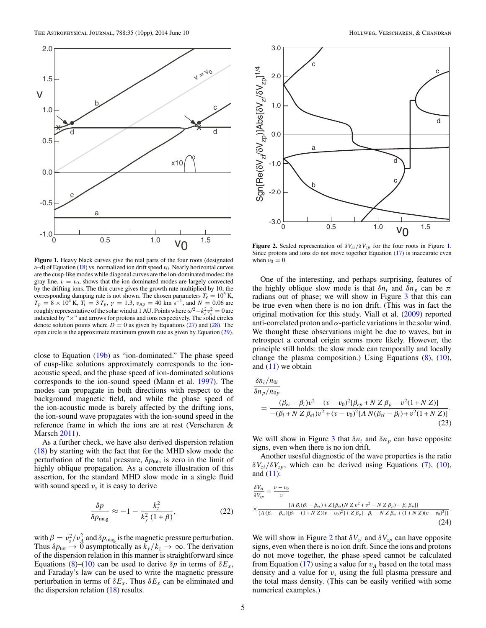<span id="page-4-0"></span>

**Figure 1.** Heavy black curves give the real parts of the four roots (designated a–d) of Equation [\(18\)](#page-3-0) vs. normalized ion drift speed *v*0. Nearly horizontal curves are the cusp-like modes while diagonal curves are the ion-dominated modes; the gray line,  $v = v_0$ , shows that the ion-dominated modes are largely convected by the drifting ions. The thin curve gives the growth rate multiplied by 10; the corresponding damping rate is not shown. The chosen parameters  $T_e = 10^5$  K,  $T_p = 8 \times 10^4$  K,  $T_i = 3 T_p$ ,  $\gamma = 1.3$ ,  $v_{Ap} = 40$  km s<sup>-1</sup>, and  $N = 0.06$  are roughly representative of the solar wind at 1 AU. Points where  $\omega^2 - k_z^2 v_s^2 = 0$  are indicated by "×" and arrows for protons and ions respectively. The solid circles denote solution points where  $D = 0$  as given by Equations [\(27\)](#page-5-0) and [\(28\)](#page-5-0). The open circle is the approximate maximum growth rate as given by Equation [\(29\)](#page-6-0).

close to Equation [\(19b\)](#page-3-0) as "ion-dominated." The phase speed of cusp-like solutions approximately corresponds to the ionacoustic speed, and the phase speed of ion-dominated solutions corresponds to the ion-sound speed (Mann et al. [1997\)](#page-9-0). The modes can propagate in both directions with respect to the background magnetic field, and while the phase speed of the ion-acoustic mode is barely affected by the drifting ions, the ion-sound wave propagates with the ion-sound speed in the reference frame in which the ions are at rest (Verscharen & Marsch [2011\)](#page-9-0).

As a further check, we have also derived dispersion relation [\(18\)](#page-3-0) by starting with the fact that for the MHD slow mode the perturbation of the total pressure,  $\delta p_{\text{tot}}$ , is zero in the limit of highly oblique propagation. As a concrete illustration of this assertion, for the standard MHD slow mode in a single fluid with sound speed  $v<sub>s</sub>$  it is easy to derive

$$
\frac{\delta p}{\delta p_{\text{mag}}} \approx -1 - \frac{k_z^2}{k_y^2 \left(1 + \beta\right)},\tag{22}
$$

with  $\beta = v_s^2/v_A^2$  and  $\delta p_{\text{mag}}$  is the magnetic pressure perturbation. Thus  $\delta p_{\text{tot}} \to 0$  asymptotically as  $k_y / k_z \to \infty$ . The derivation of the dispersion relation in this manner is straightforward since Equations [\(8\)](#page-2-0)–[\(10\)](#page-3-0) can be used to derive  $\delta p$  in terms of  $\delta E_x$ , and Faraday's law can be used to write the magnetic pressure perturbation in terms of  $\delta E_x$ . Thus  $\delta E_x$  can be eliminated and the dispersion relation [\(18\)](#page-3-0) results.



**Figure 2.** Scaled representation of  $\delta V_{zi}/\delta V_{zp}$  for the four roots in Figure 1. Since protons and ions do not move together Equation [\(17\)](#page-3-0) is inaccurate even when  $v_0 = 0$ .

One of the interesting, and perhaps surprising, features of the highly oblique slow mode is that  $\delta n_i$  and  $\delta n_p$  can be  $\pi$ radians out of phase; we will show in Figure [3](#page-5-0) that this can be true even when there is no ion drift. (This was in fact the original motivation for this study. Viall et al. [\(2009\)](#page-9-0) reported anti-correlated proton and  $\alpha$ -particle variations in the solar wind. We thought these observations might be due to waves, but in retrospect a coronal origin seems more likely. However, the principle still holds: the slow mode can temporally and locally change the plasma composition.) Using Equations [\(8\)](#page-2-0), [\(10\)](#page-3-0), and  $(11)$  we obtain

$$
\frac{\delta n_i/n_{0i}}{\delta n_p/n_{0p}} = \frac{(\beta_{ei} - \beta_i)v^2 - (v - v_0)^2[\beta_{ep} + N Z \beta_p - v^2(1 + N Z)]}{-(\beta_i + N Z \beta_{ei})v^2 + (v - v_0)^2[A N(\beta_{ei} - \beta_i) + v^2(1 + N Z)]}.
$$
\n(23)

We will show in Figure [3](#page-5-0) that  $\delta n_i$  and  $\delta n_p$  can have opposite signs, even when there is no ion drift.

Another usesful diagnostic of the wave properties is the ratio  $\delta V_{zi}/\delta V_{zp}$ , which can be derived using Equations [\(7\)](#page-2-0), [\(10\)](#page-3-0), and  $(11)$ :

$$
\frac{\delta V_{zi}}{\delta V_{zp}} = \frac{v - v_0}{v}
$$
\n
$$
\times \frac{\{A \beta_i (\beta_i - \beta_{ei}) + Z [\beta_{ei}(N Z v^2 + v^2 - N Z \beta_p) - \beta_i \beta_p]\}}{\{A (\beta_i - \beta_{ei}) [\beta_i - (1 + N Z)(v - v_0)^2] + Z \beta_p [-\beta_i - N Z \beta_{ei} + (1 + N Z)(v - v_0)^2]\}}.
$$
\n(24)

We will show in Figure 2 that  $\delta V_{zi}$  and  $\delta V_{zp}$  can have opposite signs, even when there is no ion drift. Since the ions and protons do not move together, the phase speed cannot be calculated from Equation  $(17)$  using a value for  $v_A$  based on the total mass density and a value for  $v_s$  using the full plasma pressure and the total mass density. (This can be easily verified with some numerical examples.)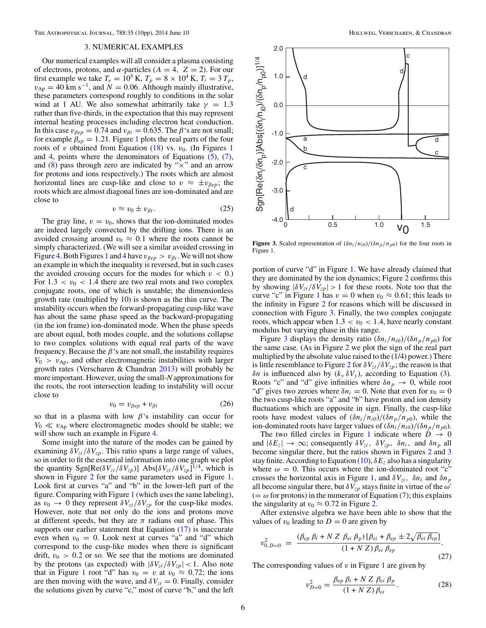# 3. NUMERICAL EXAMPLES

<span id="page-5-0"></span>Our numerical examples will all consider a plasma consisting of electrons, protons, and  $\alpha$ -particles ( $A = 4$ ,  $Z = 2$ ). For our first example we take  $T_e = 10^5$  K,  $T_p = 8 \times 10^4$  K,  $T_i = 3 T_p$ ,  $v_{\rm Ap} = 40$  km s<sup>-1</sup>, and  $N = 0.06$ . Although mainly illustrative, these parameters correspond roughly to conditions in the solar wind at 1 AU. We also somewhat arbitrarily take  $\gamma = 1.3$ rather than five-thirds, in the expectation that this may represent internal heating processes including electron heat conduction. In this case  $v_{\beta e p} = 0.74$  and  $v_{\beta i} = 0.635$ . The  $\beta$ 's are not small; for example  $\beta_{ep} = 1.21$  $\beta_{ep} = 1.21$  $\beta_{ep} = 1.21$ . Figure 1 plots the real parts of the four roots of *v* obtained from Equation  $(18)$  vs.  $v_0$ . (In Figures [1](#page-4-0)) and [4,](#page-6-0) points where the denominators of Equations  $(5)$ ,  $(7)$ , and  $(8)$  pass through zero are indicated by " $\times$ " and an arrow for protons and ions respectively.) The roots which are almost horizontal lines are cusp-like and close to  $v \approx \pm v_{\beta e p}$ ; the roots which are almost diagonal lines are ion-dominated and are close to

$$
v \approx v_0 \pm v_{\beta i}.\tag{25}
$$

The gray line,  $v = v_0$ , shows that the ion-dominated modes are indeed largely convected by the drifting ions. There is an avoided crossing around  $v_0 \approx 0.1$  where the roots cannot be simply characterized. (We will see a similar avoided crossing in Figure [4.](#page-6-0) Both Figures [1](#page-4-0) and [4](#page-6-0) have  $v_{\beta e p} > v_{\beta i}$ . We will not show an example in which the inequality is reversed, but in such cases the avoided crossing occurs for the modes for which  $v < 0$ .) For  $1.3 < v_0 < 1.4$  there are two real roots and two complex conjugate roots, one of which is unstable; the dimensionless growth rate (multiplied by 10) is shown as the thin curve. The instability occurs when the forward-propagating cusp-like wave has about the same phase speed as the backward-propagating (in the ion frame) ion-dominated mode. When the phase speeds are about equal, both modes couple, and the solutions collapse to two complex solutions with equal real parts of the wave frequency. Because the  $\beta$ 's are not small, the instability requires  $V_0$  *> v*<sub>Ap</sub>, and other electromagnetic instabilities with larger growth rates (Verscharen & Chandran [2013\)](#page-9-0) will probably be more important. However, using the small-*N* approximations for the roots, the root intersection leading to instability will occur close to

$$
v_0 = v_{\beta e} + v_{\beta i} \tag{26}
$$

so that in a plasma with low  $\beta$ 's instability can occur for  $V_0 \ll v_{\rm Ap}$  where electromagnetic modes should be stable; we will show such an example in Figure [4.](#page-6-0)

Some insight into the nature of the modes can be gained by examining  $\delta V_{zi}/\delta V_{zp}$ . This ratio spans a large range of values, so in order to fit the essential information into one graph we plot the quantity  $\text{Sgn}[\text{Re}(\delta V_{zi}/\delta V_{zp})]$  Abs $[\delta V_{zi}/\delta V_{zp}]^{1/4}$ , which is shown in Figure [2](#page-4-0) for the same parameters used in Figure [1.](#page-4-0) Look first at curves "a" and "b" in the lower-left part of the figure. Comparing with Figure [1](#page-4-0) (which uses the same labeling), as  $v_0 \rightarrow 0$  they represent  $\delta V_{zi}/\delta V_{zp}$  for the cusp-like modes. However, note that not only do the ions and protons move at different speeds, but they are  $\pi$  radians out of phase. This supports our earlier statement that Equation  $(17)$  is inaccurate even when  $v_0 = 0$ . Look next at curves "a" and "d" which correspond to the cusp-like modes when there is significant drift,  $v_0 > 0.2$  or so. We see that the motions are dominated by the protons (as expected) with  $|\delta V_{zi}/\delta V_{zp}| < 1$ . Also note that in Figure [1](#page-4-0) root "d" has  $v_0 = v$  at  $v_0 \approx 0.72$ ; the ions are then moving with the wave, and  $\delta V_{zi} = 0$ . Finally, consider the solutions given by curve "c," most of curve "b," and the left



**Figure 3.** Scaled representation of  $(\delta n_i/n_{i0})/(\delta n_p/n_{p0})$  for the four roots in Figure [1.](#page-4-0)

portion of curve "d" in Figure [1.](#page-4-0) We have already claimed that they are dominated by the ion dynamics; Figure [2](#page-4-0) confirms this by showing  $|\delta V_{zi}/\delta V_{zp}| > 1$  for these roots. Note too that the curve "c" in Figure [1](#page-4-0) has  $v = 0$  when  $v_0 \approx 0.61$ ; this leads to the infinity in Figure [2](#page-4-0) for reasons which will be discussed in connection with Figure 3. Finally, the two complex conjugate roots, which appear when  $1.3 < v_0 < 1.4$ , have nearly constant modulus but varying phase in this range.

Figure 3 displays the density ratio  $(\delta n_i/n_{i0})/(\delta n_p/n_{p0})$  for the same case. (As in Figure [2](#page-4-0) we plot the sign of the real part multiplied by the absolute value raised to the (1/4) power.) There is little resemblance to Figure [2](#page-4-0) for  $\delta V_{zi}/\delta V_{zp}$ ; the reason is that *δn* is influenced also by  $(k_y δ V_y)$ , according to Equation [\(3\)](#page-2-0). Roots "c" and "d" give infinities where  $\delta n_p \to 0$ , while root "d" gives two zeroes where  $\delta n_i = 0$ . Note that even for  $v_0 = 0$ the two cusp-like roots "a" and "b" have proton and ion density fluctuations which are opposite in sign. Finally, the cusp-like roots have modest values of  $(\delta n_i/n_{i0})/(\delta n_p/n_{p0})$ , while the ion-dominated roots have larger values of  $(\delta n_i/n_{i0})/(\delta n_p/n_{p0})$ .

The two filled circles in Figure [1](#page-4-0) indicate where  $D \rightarrow 0$ and  $|\delta E_z| \to \infty$ ; consequently  $\delta V_{zi}$ ,  $\delta V_{zp}$ ,  $\delta n_i$ , and  $\delta n_p$  all become singular there, but the ratios shown in Figures [2](#page-4-0) and 3 stay finite. According to Equation  $(10)$ ,  $\delta E_z$  also has a singularity where  $\omega = 0$ . This occurs where the ion-dominated root "c" crosses the horizontal axis in Figure [1,](#page-4-0) and  $\delta V_{zi}$ ,  $\delta n_i$  and  $\delta n_p$ all become singular there, but  $\delta V_{zp}$  stays finite in virtue of the  $\omega'$  $(=\omega \text{ for protons})$  in the numerator of Equation [\(7\)](#page-2-0); this explains the singularity at  $v_0 \approx 0.72$  in Figure [2.](#page-4-0)

After extensive algebra we have been able to show that the values of  $v_0$  leading to  $D = 0$  are given by

$$
v_{0,D=0}^{2} = \frac{(\beta_{ep} \beta_{i} + N Z \beta_{ei} \beta_{p}) [\beta_{ei} + \beta_{ep} \pm 2 \sqrt{\beta_{ei} \beta_{ep}}]}{(1 + N Z) \beta_{ei} \beta_{ep}}.
$$
\n(27)

The corresponding values of  $v$  in Figure [1](#page-4-0) are given by

$$
v_{D=0}^2 = \frac{\beta_{ep} \beta_i + N Z \beta_{ei} \beta_p}{(1 + N Z) \beta_{ei}}.
$$
 (28)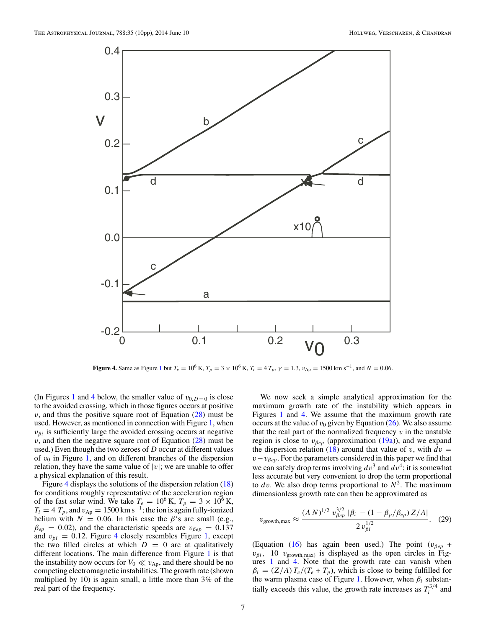<span id="page-6-0"></span>

**Figure 4.** Same as Figure [1](#page-4-0) but  $T_e = 10^6$  K,  $T_p = 3 \times 10^6$  K,  $T_i = 4 T_p$ ,  $\gamma = 1.3$ ,  $v_{\rm Ap} = 1500$  km s<sup>-1</sup>, and  $N = 0.06$ .

(In Figures [1](#page-4-0) and 4 below, the smaller value of  $v_{0,D=0}$  is close to the avoided crossing, which in those figures occurs at positive  $v$ , and thus the positive square root of Equation  $(28)$  must be used. However, as mentioned in connection with Figure [1,](#page-4-0) when  $v_{\beta i}$  is sufficiently large the avoided crossing occurs at negative *v*, and then the negative square root of Equation [\(28\)](#page-5-0) must be used.) Even though the two zeroes of *D* occur at different values of  $v_0$  in Figure [1,](#page-4-0) and on different branches of the dispersion relation, they have the same value of  $|v|$ ; we are unable to offer a physical explanation of this result.

Figure 4 displays the solutions of the dispersion relation [\(18\)](#page-3-0) for conditions roughly representative of the acceleration region of the fast solar wind. We take  $T_e = 10^6$  K,  $T_p = 3 \times 10^6$  K,  $T_i = 4 T_p$ , and  $v_{Ap} = 1500 \text{ km s}^{-1}$ ; the ion is again fully-ionized helium with  $N = 0.06$ . In this case the  $\beta$ 's are small (e.g.,  $\beta_{ep} = 0.02$ ), and the characteristic speeds are  $v_{\beta ep} = 0.137$ and  $v_{\beta i} = 0.12$ . Figure 4 closely resembles Figure [1,](#page-4-0) except the two filled circles at which  $D = 0$  are at qualitatively different locations. The main difference from Figure [1](#page-4-0) is that the instability now occurs for  $V_0 \ll v_{Ap}$ , and there should be no competing electromagnetic instabilities. The growth rate (shown multiplied by 10) is again small, a little more than 3% of the real part of the frequency.

We now seek a simple analytical approximation for the maximum growth rate of the instability which appears in Figures [1](#page-4-0) and 4. We assume that the maximum growth rate occurs at the value of  $v_0$  given by Equation  $(26)$ . We also assume that the real part of the normalized frequency  $v$  in the unstable region is close to  $v_{\beta e p}$  (approximation [\(19a\)](#page-3-0)), and we expand the dispersion relation [\(18\)](#page-3-0) around that value of *v*, with  $dv =$  $v - v_{\beta e}$ . For the parameters considered in this paper we find that we can safely drop terms involving  $dv^3$  and  $dv^4$ ; it is somewhat less accurate but very convenient to drop the term proportional to  $dv$ . We also drop terms proportional to  $N^2$ . The maximum dimensionless growth rate can then be approximated as

$$
v_{\text{growth,max}} \approx \frac{(A\ N)^{1/2} \ v_{\beta ep}^{3/2} \ |\beta_i - (1 - \beta_p/\beta_{ep}) Z/A|}{2 \ v_{\beta i}^{1/2}}. \tag{29}
$$

(Equation [\(16\)](#page-3-0) has again been used.) The point  $(v_{\beta e p} +$  $v_{\beta i}$ , 10  $v_{\text{growth,max}}$  is displayed as the open circles in Figures [1](#page-4-0) and 4. Note that the growth rate can vanish when  $\beta_i = (Z/A) T_e/(T_e + T_p)$ , which is close to being fulfilled for the warm plasma case of Figure [1.](#page-4-0) However, when *βi* substantially exceeds this value, the growth rate increases as  $T_i^{3/4}$  and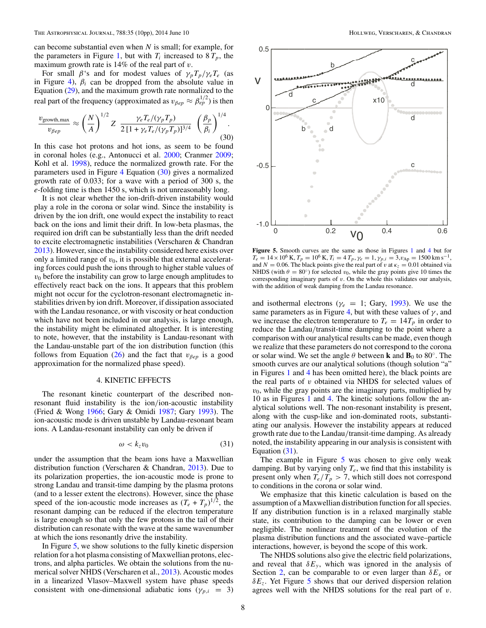<span id="page-7-0"></span>can become substantial even when *N* is small; for example, for the parameters in Figure [1,](#page-4-0) but with  $T_i$  increased to  $8 T_p$ , the maximum growth rate is 14% of the real part of *v*.

For small  $\beta$ 's and for modest values of  $\gamma_p T_p / \gamma_e T_e$  (as in Figure [4\)](#page-6-0),  $\beta_i$  can be dropped from the absolute value in Equation [\(29\)](#page-6-0), and the maximum growth rate normalized to the real part of the frequency (approximated as  $v_{\beta ep} \approx \beta_{ep}^{1/2}$ ) is then

$$
\frac{v_{\text{growth,max}}}{v_{\beta ep}} \approx \left(\frac{N}{A}\right)^{1/2} Z \frac{\gamma_e T_e / (\gamma_p T_p)}{2 \left[1 + \gamma_e T_e / (\gamma_p T_p)\right]^{3/4}} \left(\frac{\beta_p}{\beta_i}\right)^{1/4}.
$$
\n(30)

In this case hot protons and hot ions, as seem to be found in coronal holes (e.g., Antonucci et al. [2000;](#page-9-0) Cranmer [2009;](#page-9-0) Kohl et al. [1998\)](#page-9-0), reduce the normalized growth rate. For the parameters used in Figure [4](#page-6-0) Equation (30) gives a normalized growth rate of 0.033; for a wave with a period of 300 s, the *e*-folding time is then 1450 s, which is not unreasonably long.

It is not clear whether the ion-drift-driven instability would play a role in the corona or solar wind. Since the instability is driven by the ion drift, one would expect the instability to react back on the ions and limit their drift. In low-beta plasmas, the required ion drift can be substantially less than the drift needed to excite electromagnetic instabilities (Verscharen & Chandran [2013\)](#page-9-0). However, since the instability considered here exists over only a limited range of  $v_0$ , it is possible that external accelerating forces could push the ions through to higher stable values of  $v<sub>0</sub>$  before the instability can grow to large enough amplitudes to effectively react back on the ions. It appears that this problem might not occur for the cyclotron-resonant electromagnetic instabilities driven by ion drift. Moreover, if dissipation associated with the Landau resonance, or with viscosity or heat conduction which have not been included in our analysis, is large enough, the instability might be eliminated altogether. It is interesting to note, however, that the instability is Landau-resonant with the Landau-unstable part of the ion distribution function (this follows from Equation [\(26\)](#page-5-0) and the fact that  $v_{\beta e p}$  is a good approximation for the normalized phase speed).

### 4. KINETIC EFFECTS

The resonant kinetic counterpart of the described nonresonant fluid instability is the ion*/*ion-acoustic instability (Fried & Wong [1966;](#page-9-0) Gary & Omidi [1987;](#page-9-0) Gary [1993\)](#page-9-0). The ion-acoustic mode is driven unstable by Landau-resonant beam ions. A Landau-resonant instability can only be driven if

$$
\omega < k_z v_0 \tag{31}
$$

under the assumption that the beam ions have a Maxwellian distribution function (Verscharen & Chandran, [2013\)](#page-9-0). Due to its polarization properties, the ion-acoustic mode is prone to strong Landau and transit-time damping by the plasma protons (and to a lesser extent the electrons). However, since the phase speed of the ion-acoustic mode increases as  $(T_e + T_p)^{1/2}$ , the resonant damping can be reduced if the electron temperature is large enough so that only the few protons in the tail of their distribution can resonate with the wave at the same wavenumber at which the ions resonantly drive the instability.

In Figure 5, we show solutions to the fully kinetic dispersion relation for a hot plasma consisting of Maxwellian protons, electrons, and alpha particles. We obtain the solutions from the numerical solver NHDS (Verscharen et al., [2013\)](#page-9-0). Acoustic modes in a linearized Vlasov–Maxwell system have phase speeds consistent with one-dimensional adiabatic ions ( $\gamma_{p,i}$  = 3)



**Figure 5.** Smooth curves are the same as those in Figures [1](#page-4-0) and [4](#page-6-0) but for  $T_e = 14 \times 10^6$  K,  $T_p = 10^6$  K,  $T_i = 4$   $T_p$ ,  $\gamma_e = 1$ ,  $\gamma_{p,i} = 3$ ,  $\nu_{Ap} = 1500$  km s<sup>-1</sup>, and  $N = 0.06$ . The black points give the real part of *v* at  $\kappa_z = 0.01$  obtained via NHDS (with  $\theta = 80^\circ$ ) for selected *v*<sub>0</sub>, while the gray points give 10 times the corresponding imaginary parts of *v*. On the whole this validates our analysis, with the addition of weak damping from the Landau resonance.

and isothermal electrons ( $\gamma_e = 1$ ; Gary, [1993\)](#page-9-0). We use the same parameters as in Figure [4,](#page-6-0) but with these values of  $\gamma$ , and we increase the electron temperature to  $T_e = 14T_p$  in order to reduce the Landau*/*transit-time damping to the point where a comparison with our analytical results can be made, even though we realize that these parameters do not correspond to the corona or solar wind. We set the angle  $\theta$  between **k** and **B**<sub>0</sub> to 80<sup>°</sup>. The smooth curves are our analytical solutions (though solution "a" in Figures [1](#page-4-0) and [4](#page-6-0) has been omitted here), the black points are the real parts of *v* obtained via NHDS for selected values of  $v_0$ , while the gray points are the imaginary parts, multiplied by 10 as in Figures [1](#page-4-0) and [4.](#page-6-0) The kinetic solutions follow the analytical solutions well. The non-resonant instability is present, along with the cusp-like and ion-dominated roots, substantiating our analysis. However the instability appears at reduced growth rate due to the Landau*/*transit-time damping. As already noted, the instability appearing in our analysis is consistent with Equation (31).

The example in Figure 5 was chosen to give only weak damping. But by varying only  $T_e$ , we find that this instability is present only when  $T_e/T_p > 7$ , which still does not correspond to conditions in the corona or solar wind.

We emphasize that this kinetic calculation is based on the assumption of a Maxwellian distribution function for all species. If any distribution function is in a relaxed marginally stable state, its contribution to the damping can be lower or even negligible. The nonlinear treatment of the evolution of the plasma distribution functions and the associated wave–particle interactions, however, is beyond the scope of this work.

The NHDS solutions also give the electric field polarizations, and reveal that  $\delta E_y$ , which was ignored in the analysis of Section [2,](#page-2-0) can be comparable to or even larger than  $\delta E_x$  or *δEz*. Yet Figure 5 shows that our derived dispersion relation agrees well with the NHDS solutions for the real part of *v*.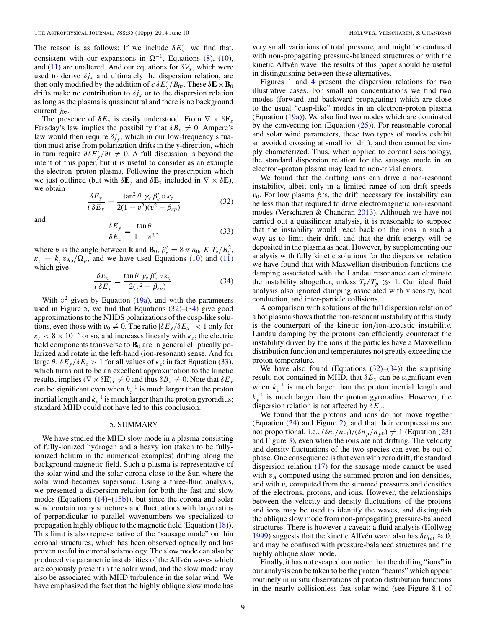<span id="page-8-0"></span>The reason is as follows: If we include  $\delta E_y'$ , we find that, consistent with our expansions in  $\Omega^{-1}$ , Equations [\(8\)](#page-2-0), [\(10\)](#page-3-0), and [\(11\)](#page-3-0) are unaltered. And our equations for  $\delta V_x$ , which were used to derive  $\delta j_x$  and ultimately the dispersion relation, are then only modified by the addition of  $c \delta E_y^{\prime} / B_{0z}$ . These  $\delta \mathbf{E} \times \mathbf{B}_0$ drifts make no contribution to  $\delta j_x$  or to the dispersion relation as long as the plasma is quasineutral and there is no background current  $j_{0z}$ .

The presence of  $\delta E_y$  is easily understood. From  $\nabla \times \delta \mathbf{E}_z$ Faraday's law implies the possibility that  $\delta B_x \neq 0$ . Ampere's law would then require  $\delta j_{v}$ , which in our low-frequency situation must arise from polarization drifts in the *y*-direction, which in turn require  $\partial \delta E_y^{\prime}/\partial t \neq 0$ . A full discussion is beyond the intent of this paper, but it is useful to consider as an example the electron–proton plasma. Following the prescription which we just outlined (but with  $\delta \mathbf{E}_y$  and  $\delta \mathbf{E}_z$  included in  $\nabla \times \delta \mathbf{E}$ ), we obtain

$$
\frac{\delta E_y}{i \delta E_x} = \frac{\tan^2 \theta \ \gamma_e \ \beta'_e \ v \ \kappa_z}{2(1 - v^2)(v^2 - \beta_{ep})}
$$
(32)

and

$$
\frac{\delta E_y}{\delta E_z} = \frac{\tan \theta}{1 - v^2},\tag{33}
$$

where  $\theta$  is the angle between **k** and **B**<sub>0</sub>,  $\beta'_e = 8 \pi n_{0e} K T_e / B_0^2$ ,  $\kappa_z = k_z v_{\rm Ab} / \Omega_p$ , and we have used Equations [\(10\)](#page-3-0) and [\(11\)](#page-3-0) which give

$$
\frac{\delta E_z}{i \delta E_x} = \frac{\tan \theta \ \gamma_e \ \beta'_e \ v \ \kappa_z}{2(v^2 - \beta_{ep})}.
$$
 (34)

With  $v^2$  given by Equation [\(19a\)](#page-3-0), and with the parameters used in Figure [5,](#page-7-0) we find that Equations (32)–(34) give good approximations to the NHDS polarizations of the cusp-like solutions, even those with  $v_0 \neq 0$ . The ratio  $|\delta E_y / \delta E_x|$  < 1 only for  $\kappa_z$  < 8 × 10<sup>-3</sup> or so, and increases linearly with  $\kappa_z$ ; the electric field components transverse to  $\mathbf{B}_0$  are in general elliptically polarized and rotate in the left-hand (ion-resonant) sense. And for large  $\theta$ ,  $\delta E_y/\delta E_z > 1$  for all values of  $\kappa_z$ ; in fact Equation (33), which turns out to be an excellent approximation to the kinetic results, implies  $(\nabla \times \delta \mathbf{E})_x \neq 0$  and thus  $\delta B_x \neq 0$ . Note that  $\delta E_y$ can be significant even when  $k_z^{-1}$  is much larger than the proton inertial length and  $k_y^{-1}$  is much larger than the proton gyroradius; standard MHD could not have led to this conclusion.

#### 5. SUMMARY

We have studied the MHD slow mode in a plasma consisting of fully-ionized hydrogen and a heavy ion (taken to be fullyionized helium in the numerical examples) drifting along the background magnetic field. Such a plasma is representative of the solar wind and the solar corona close to the Sun where the solar wind becomes supersonic. Using a three-fluid analysis, we presented a dispersion relation for both the fast and slow modes (Equations  $(14)$ – $(15b)$ ), but since the corona and solar wind contain many structures and fluctuations with large ratios of perpendicular to parallel wavenumbers we specialized to propagation highly oblique to the magnetic field (Equation [\(18\)](#page-3-0)). This limit is also representative of the "sausage mode" on thin coronal structures, which has been observed optically and has proven useful in coronal seismology. The slow mode can also be produced via parametric instabilities of the Alfvén waves which are copiously present in the solar wind, and the slow mode may also be associated with MHD turbulence in the solar wind. We have emphasized the fact that the highly oblique slow mode has very small variations of total pressure, and might be confused with non-propagating pressure-balanced structures or with the kinetic Alfvén wave; the results of this paper should be useful in distinguishing between these alternatives.

Figures [1](#page-4-0) and [4](#page-6-0) present the dispersion relations for two illustrative cases. For small ion concentrations we find two modes (forward and backward propagating) which are close to the usual "cusp-like" modes in an electron-proton plasma (Equation  $(19a)$ ). We also find two modes which are dominated by the convecting ion (Equation  $(25)$ ). For reasonable coronal and solar wind parameters, these two types of modes exhibit an avoided crossing at small ion drift, and then cannot be simply characterized. Thus, when applied to coronal seismology, the standard dispersion relation for the sausage mode in an electron–proton plasma may lead to non-trivial errors.

We found that the drifting ions can drive a non-resonant instability, albeit only in a limited range of ion drift speeds  $v_0$ . For low plasma  $\beta$ 's, the drift necessary for instability can be less than that required to drive electromagnetic ion-resonant modes (Verscharen & Chandran [2013\)](#page-9-0). Although we have not carried out a quasilinear analysis, it is reasonable to suppose that the instability would react back on the ions in such a way as to limit their drift, and that the drift energy will be deposited in the plasma as heat. However, by supplementing our analysis with fully kinetic solutions for the dispersion relation we have found that with Maxwellian distribution functions the damping associated with the Landau resonance can eliminate the instability altogether, unless  $T_e/T_p \gg 1$ . Our ideal fluid analysis also ignored damping associated with viscosity, heat conduction, and inter-particle collisions.

A comparison with solutions of the full dispersion relation of a hot plasma shows that the non-resonant instability of this study is the counterpart of the kinetic ion*/*ion-acoustic instability. Landau damping by the protons can efficiently counteract the instability driven by the ions if the particles have a Maxwellian distribution function and temperatures not greatly exceeding the proton temperature.

We have also found (Equations  $(32)$ – $(34)$ ) the surprising result, not contained in MHD, that  $\delta E_y$  can be significant even when  $k_z^{-1}$  is much larger than the proton inertial length and  $k_y^{-1}$  is much larger than the proton gyroradius. However, the dispersion relation is not affected by *δEy* .

We found that the protons and ions do not move together (Equation [\(24\)](#page-4-0) and Figure [2\)](#page-4-0), and that their compressions are not proportional, i.e.,  $(\delta n_i/n_{i0})/(\delta n_p/n_{p0}) \neq 1$  (Equation [\(23\)](#page-4-0) and Figure [3\)](#page-5-0), even when the ions are not drifting. The velocity and density fluctuations of the two species can even be out of phase. One consequence is that even with zero drift, the standard dispersion relation [\(17\)](#page-3-0) for the sausage mode cannot be used with  $v_A$  computed using the summed proton and ion densities, and with *vs* computed from the summed pressures and densities of the electrons, protons, and ions. However, the relationships between the velocity and density fluctuations of the protons and ions may be used to identify the waves, and distinguish the oblique slow mode from non-propagating pressure-balanced structures. There is however a caveat: a fluid analysis (Hollweg [1999\)](#page-9-0) suggests that the kinetic Alfvén wave also has  $\delta p_{tot} \approx 0$ , and may be confused with pressure-balanced structures and the highly oblique slow mode.

Finally, it has not escaped our notice that the drifting "ions" in our analysis can be taken to be the proton "beams" which appear routinely in in situ observations of proton distribution functions in the nearly collisionless fast solar wind (see Figure 8.1 of